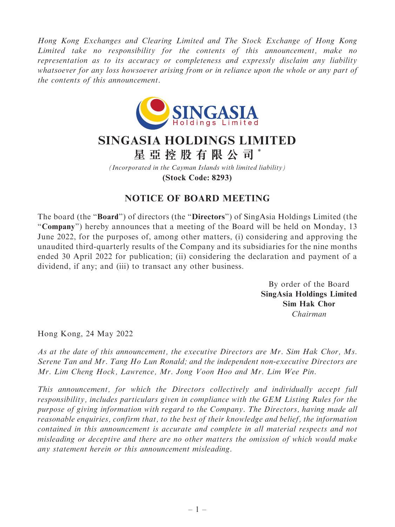Hong Kong Exchanges and Clearing Limited and The Stock Exchange of Hong Kong Limited take no responsibility for the contents of this announcement, make no representation as to its accuracy or completeness and expressly disclaim any liability whatsoever for any loss howsoever arising from or in reliance upon the whole or any part of the contents of this announcement.



## **SINGASIA HOLDINGS LIMITED**

**星亞控股有限公司** \*

*(Incorporated in the Cayman Islands with limited liability)* **(Stock Code: 8293)**

## NOTICE OF BOARD MEETING

The board (the "Board") of directors (the "Directors") of SingAsia Holdings Limited (the "Company") hereby announces that a meeting of the Board will be held on Monday, 13 June 2022, for the purposes of, among other matters, (i) considering and approving the unaudited third-quarterly results of the Company and its subsidiaries for the nine months ended 30 April 2022 for publication; (ii) considering the declaration and payment of a dividend, if any; and (iii) to transact any other business.

> By order of the Board SingAsia Holdings Limited Sim Hak Chor Chairman

Hong Kong, 24 May 2022

As at the date of this announcement, the executive Directors are Mr. Sim Hak Chor, Ms. Serene Tan and Mr. Tang Ho Lun Ronald; and the independent non-executive Directors are Mr. Lim Cheng Hock, Lawrence, Mr. Jong Voon Hoo and Mr. Lim Wee Pin.

This announcement, for which the Directors collectively and individually accept full responsibility, includes particulars given in compliance with the GEM Listing Rules for the purpose of giving information with regard to the Company. The Directors, having made all reasonable enquiries, confirm that, to the best of their knowledge and belief, the information contained in this announcement is accurate and complete in all material respects and not misleading or deceptive and there are no other matters the omission of which would make any statement herein or this announcement misleading.